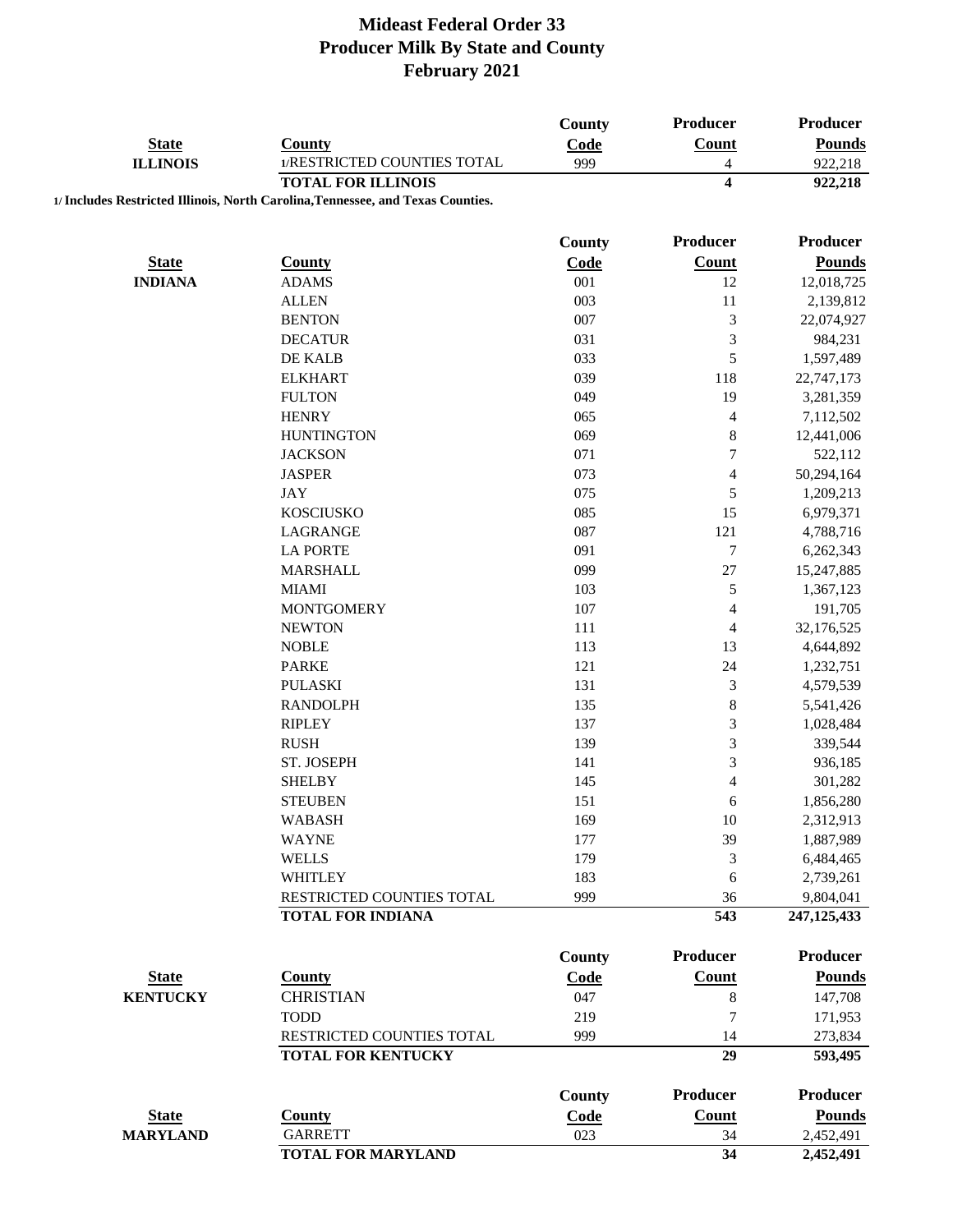|                 |                                                                                                              | County        | Producer                 | Producer        |
|-----------------|--------------------------------------------------------------------------------------------------------------|---------------|--------------------------|-----------------|
| <b>State</b>    | <b>County</b>                                                                                                | Code          | Count                    | <b>Pounds</b>   |
| <b>ILLINOIS</b> | 1/RESTRICTED COUNTIES TOTAL                                                                                  | 999           | $\overline{4}$           | 922,218         |
|                 | <b>TOTAL FOR ILLINOIS</b><br>1/ Includes Restricted Illinois, North Carolina, Tennessee, and Texas Counties. |               | $\overline{\mathbf{4}}$  | 922,218         |
|                 |                                                                                                              |               |                          |                 |
|                 |                                                                                                              | <b>County</b> | Producer                 | Producer        |
| <b>State</b>    | <b>County</b>                                                                                                | Code          | <b>Count</b>             | <b>Pounds</b>   |
| <b>INDIANA</b>  | <b>ADAMS</b>                                                                                                 | 001           | 12                       | 12,018,725      |
|                 | <b>ALLEN</b>                                                                                                 | 003           | 11                       | 2,139,812       |
|                 | <b>BENTON</b>                                                                                                | 007           | 3                        | 22,074,927      |
|                 | <b>DECATUR</b>                                                                                               | 031           | 3                        | 984,231         |
|                 | DE KALB                                                                                                      | 033           | 5                        | 1,597,489       |
|                 | <b>ELKHART</b>                                                                                               | 039           | 118                      | 22,747,173      |
|                 | <b>FULTON</b>                                                                                                | 049           | 19                       | 3,281,359       |
|                 | <b>HENRY</b>                                                                                                 | 065           | $\overline{\mathcal{L}}$ | 7,112,502       |
|                 | <b>HUNTINGTON</b>                                                                                            | 069           | 8                        | 12,441,006      |
|                 | <b>JACKSON</b>                                                                                               | 071           | $\overline{7}$           | 522,112         |
|                 | <b>JASPER</b>                                                                                                | 073           | $\overline{\mathcal{L}}$ | 50,294,164      |
|                 | <b>JAY</b>                                                                                                   | 075           | 5                        | 1,209,213       |
|                 | <b>KOSCIUSKO</b>                                                                                             | 085           | 15                       | 6,979,371       |
|                 | LAGRANGE                                                                                                     | 087           | 121                      | 4,788,716       |
|                 | <b>LA PORTE</b>                                                                                              | 091           | $\sqrt{ }$               | 6,262,343       |
|                 | <b>MARSHALL</b>                                                                                              | 099           | $27\,$                   | 15,247,885      |
|                 | <b>MIAMI</b>                                                                                                 | 103           | 5                        | 1,367,123       |
|                 | <b>MONTGOMERY</b>                                                                                            | 107           | 4                        | 191,705         |
|                 | <b>NEWTON</b>                                                                                                | 111           | $\overline{\mathcal{L}}$ | 32,176,525      |
|                 | <b>NOBLE</b>                                                                                                 | 113           | 13                       | 4,644,892       |
|                 | <b>PARKE</b>                                                                                                 | 121           | 24                       | 1,232,751       |
|                 | <b>PULASKI</b>                                                                                               | 131           | 3                        | 4,579,539       |
|                 | <b>RANDOLPH</b>                                                                                              | 135           | 8                        | 5,541,426       |
|                 | <b>RIPLEY</b>                                                                                                | 137           | 3                        | 1,028,484       |
|                 | <b>RUSH</b>                                                                                                  | 139           | 3                        | 339,544         |
|                 | ST. JOSEPH                                                                                                   | 141           | 3                        | 936,185         |
|                 | <b>SHELBY</b>                                                                                                | 145           | $\overline{4}$           | 301,282         |
|                 | <b>STEUBEN</b>                                                                                               | 151           | 6                        | 1,856,280       |
|                 | <b>WABASH</b>                                                                                                | 169           | 10                       | 2,312,913       |
|                 | <b>WAYNE</b>                                                                                                 | 177           | 39                       | 1,887,989       |
|                 | <b>WELLS</b>                                                                                                 | 179           | 3                        | 6,484,465       |
|                 | <b>WHITLEY</b>                                                                                               | 183           | 6                        | 2,739,261       |
|                 | RESTRICTED COUNTIES TOTAL                                                                                    | 999           | 36                       | 9,804,041       |
|                 | <b>TOTAL FOR INDIANA</b>                                                                                     |               | 543                      | 247, 125, 433   |
|                 |                                                                                                              |               |                          |                 |
|                 |                                                                                                              | County        | <b>Producer</b>          | <b>Producer</b> |
| <b>State</b>    | <b>County</b>                                                                                                | Code          | Count                    | <b>Pounds</b>   |
| <b>KENTUCKY</b> | <b>CHRISTIAN</b>                                                                                             | 047           | $\,8\,$                  | 147,708         |
|                 | <b>TODD</b>                                                                                                  | 219           | 7                        | 171,953         |
|                 | RESTRICTED COUNTIES TOTAL                                                                                    | 999           | 14                       | 273,834         |
|                 | <b>TOTAL FOR KENTUCKY</b>                                                                                    |               | 29                       | 593,495         |
|                 |                                                                                                              | County        | <b>Producer</b>          | Producer        |
| <b>State</b>    | <b>County</b>                                                                                                | Code          | <b>Count</b>             | <b>Pounds</b>   |
| <b>MARYLAND</b> | <b>GARRETT</b>                                                                                               | 023           | 34                       | 2,452,491       |
|                 | <b>TOTAL FOR MARYLAND</b>                                                                                    |               | 34                       | 2,452,491       |
|                 |                                                                                                              |               |                          |                 |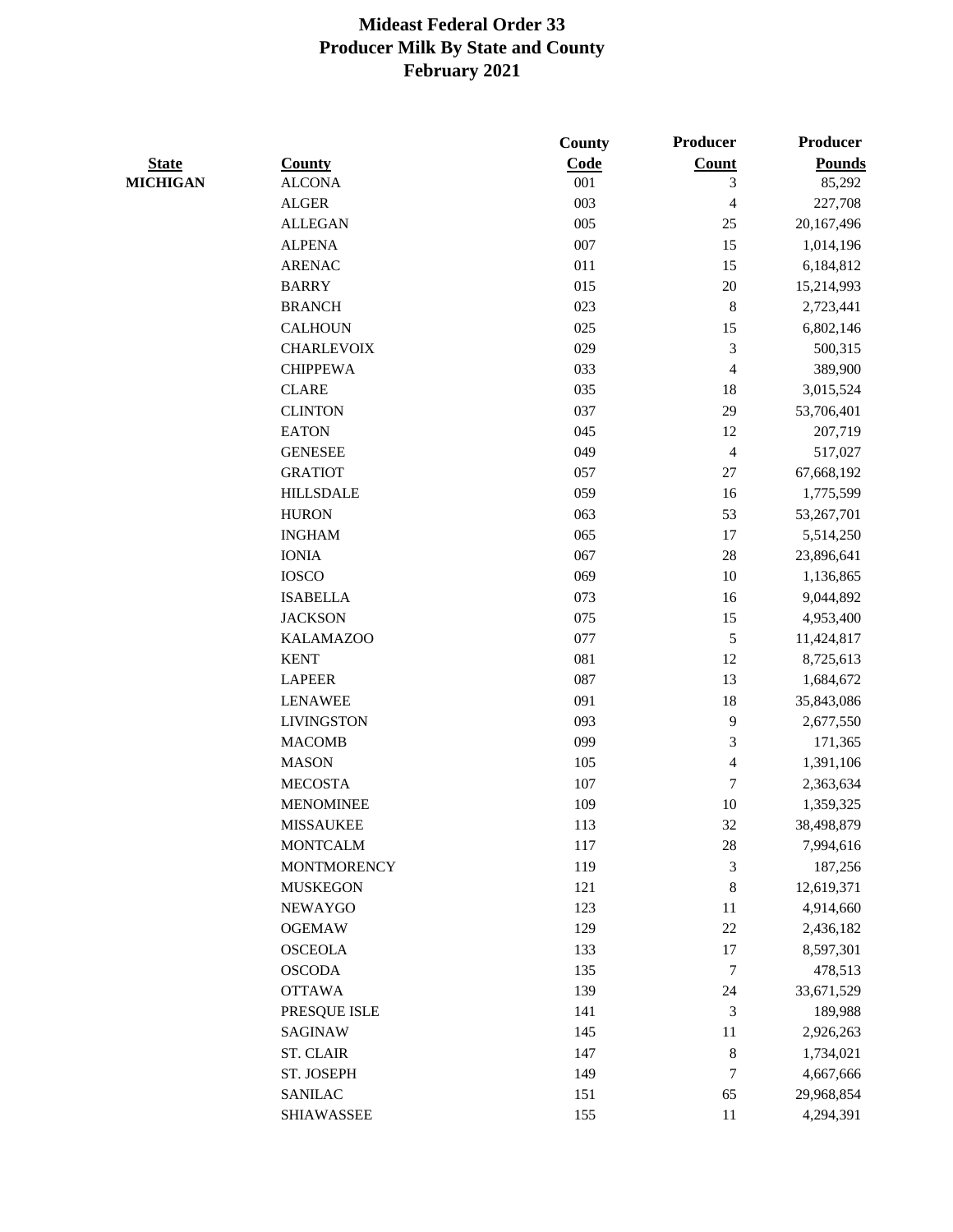|                 |                    | County | Producer                | <b>Producer</b> |
|-----------------|--------------------|--------|-------------------------|-----------------|
| <b>State</b>    | <b>County</b>      | Code   | Count                   | <b>Pounds</b>   |
| <b>MICHIGAN</b> | <b>ALCONA</b>      | 001    | 3                       | 85,292          |
|                 | <b>ALGER</b>       | 003    | $\overline{\mathbf{4}}$ | 227,708         |
|                 | <b>ALLEGAN</b>     | 005    | 25                      | 20,167,496      |
|                 | <b>ALPENA</b>      | 007    | 15                      | 1,014,196       |
|                 | <b>ARENAC</b>      | 011    | 15                      | 6,184,812       |
|                 | <b>BARRY</b>       | 015    | $20\,$                  | 15,214,993      |
|                 | <b>BRANCH</b>      | 023    | $\,8\,$                 | 2,723,441       |
|                 | <b>CALHOUN</b>     | 025    | 15                      | 6,802,146       |
|                 | <b>CHARLEVOIX</b>  | 029    | 3                       | 500,315         |
|                 | <b>CHIPPEWA</b>    | 033    | $\overline{4}$          | 389,900         |
|                 | <b>CLARE</b>       | 035    | 18                      | 3,015,524       |
|                 | <b>CLINTON</b>     | 037    | 29                      | 53,706,401      |
|                 | <b>EATON</b>       | 045    | 12                      | 207,719         |
|                 | <b>GENESEE</b>     | 049    | $\overline{4}$          | 517,027         |
|                 | <b>GRATIOT</b>     | 057    | $27\,$                  | 67,668,192      |
|                 | <b>HILLSDALE</b>   | 059    | 16                      | 1,775,599       |
|                 | <b>HURON</b>       | 063    | 53                      | 53,267,701      |
|                 | <b>INGHAM</b>      | 065    | 17                      | 5,514,250       |
|                 | <b>IONIA</b>       | 067    | 28                      | 23,896,641      |
|                 | <b>IOSCO</b>       | 069    | 10                      | 1,136,865       |
|                 | <b>ISABELLA</b>    | 073    | 16                      | 9,044,892       |
|                 | <b>JACKSON</b>     | 075    | 15                      | 4,953,400       |
|                 | <b>KALAMAZOO</b>   | 077    | 5                       | 11,424,817      |
|                 | <b>KENT</b>        | 081    | $12\,$                  | 8,725,613       |
|                 | <b>LAPEER</b>      | 087    | 13                      | 1,684,672       |
|                 | <b>LENAWEE</b>     | 091    | 18                      | 35,843,086      |
|                 | <b>LIVINGSTON</b>  | 093    | 9                       | 2,677,550       |
|                 | <b>MACOMB</b>      | 099    | 3                       | 171,365         |
|                 | <b>MASON</b>       | 105    | $\overline{4}$          | 1,391,106       |
|                 | <b>MECOSTA</b>     | 107    | 7                       | 2,363,634       |
|                 | <b>MENOMINEE</b>   | 109    | 10                      | 1,359,325       |
|                 | <b>MISSAUKEE</b>   | 113    | 32                      | 38,498,879      |
|                 | <b>MONTCALM</b>    | 117    | 28                      | 7,994,616       |
|                 | <b>MONTMORENCY</b> | 119    | 3                       | 187,256         |
|                 | <b>MUSKEGON</b>    | 121    | $\,8\,$                 | 12,619,371      |
|                 | <b>NEWAYGO</b>     | 123    | 11                      | 4,914,660       |
|                 | <b>OGEMAW</b>      | 129    | 22                      | 2,436,182       |
|                 | <b>OSCEOLA</b>     | 133    | 17                      | 8,597,301       |
|                 | <b>OSCODA</b>      | 135    | 7                       | 478,513         |
|                 | <b>OTTAWA</b>      | 139    | 24                      | 33,671,529      |
|                 | PRESQUE ISLE       | 141    | $\mathfrak{Z}$          | 189,988         |
|                 | <b>SAGINAW</b>     | 145    | 11                      | 2,926,263       |
|                 | <b>ST. CLAIR</b>   | 147    | $\,8\,$                 | 1,734,021       |
|                 | ST. JOSEPH         | 149    | 7                       | 4,667,666       |
|                 | <b>SANILAC</b>     | 151    | 65                      | 29,968,854      |
|                 | <b>SHIAWASSEE</b>  | 155    | 11                      | 4,294,391       |
|                 |                    |        |                         |                 |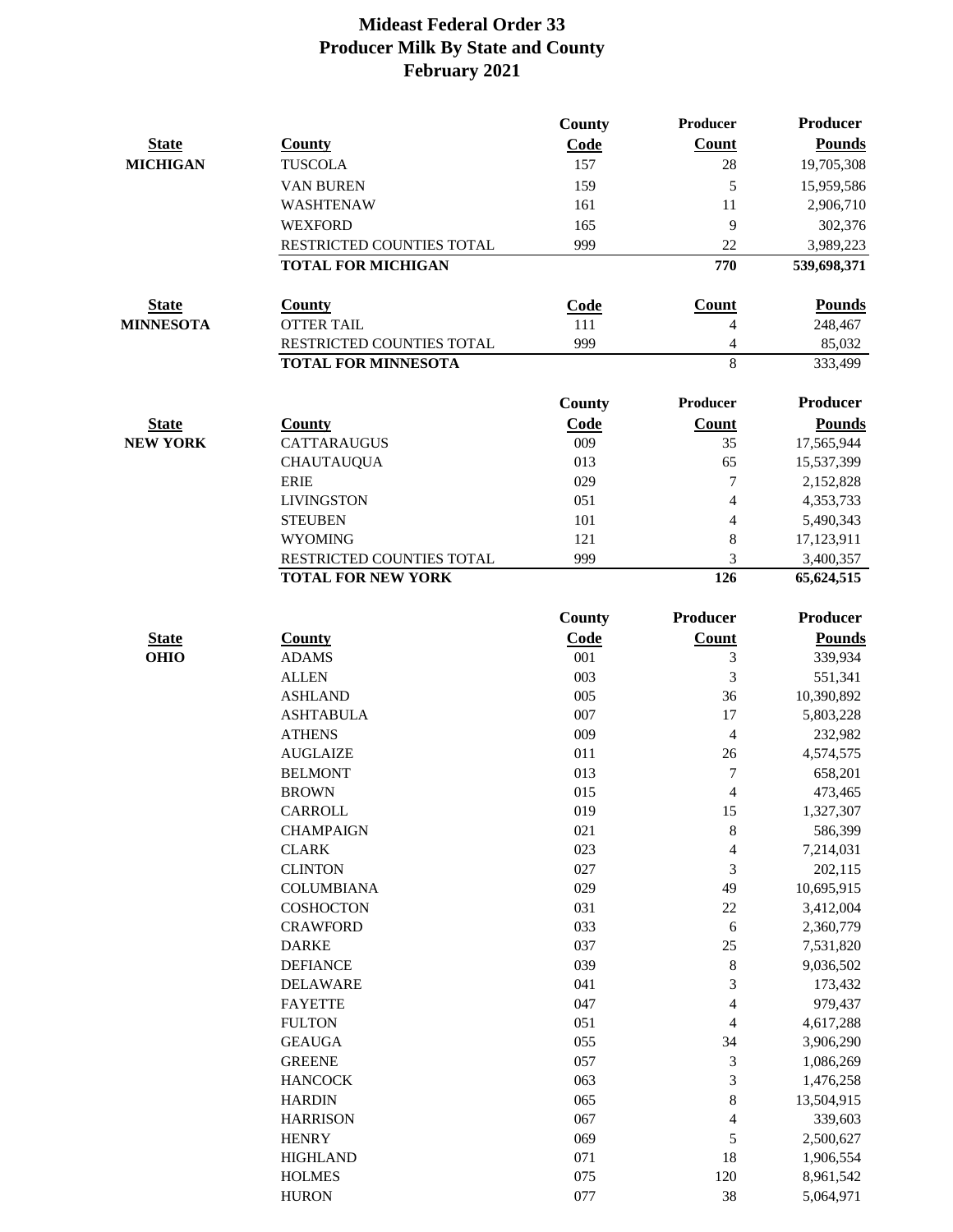|                  |                           | County      | Producer       | Producer        |
|------------------|---------------------------|-------------|----------------|-----------------|
| <b>State</b>     | <b>County</b>             | Code        | <b>Count</b>   | <b>Pounds</b>   |
| <b>MICHIGAN</b>  | <b>TUSCOLA</b>            | 157         | 28             | 19,705,308      |
|                  | <b>VAN BUREN</b>          | 159         | 5              | 15,959,586      |
|                  | <b>WASHTENAW</b>          | 161         | 11             | 2,906,710       |
|                  | <b>WEXFORD</b>            | 165         | 9              | 302,376         |
|                  | RESTRICTED COUNTIES TOTAL | 999         | 22             | 3,989,223       |
|                  | <b>TOTAL FOR MICHIGAN</b> |             | 770            | 539,698,371     |
| <b>State</b>     | <b>County</b>             | <b>Code</b> | <b>Count</b>   | <b>Pounds</b>   |
| <b>MINNESOTA</b> | <b>OTTER TAIL</b>         | 111         | $\overline{4}$ | 248,467         |
|                  | RESTRICTED COUNTIES TOTAL | 999         | 4              | 85,032          |
|                  | TOTAL FOR MINNESOTA       |             | 8              | 333,499         |
|                  |                           |             |                |                 |
|                  |                           | County      | Producer       | <b>Producer</b> |
| <b>State</b>     | <b>County</b>             | Code        | <b>Count</b>   | <b>Pounds</b>   |
| <b>NEW YORK</b>  | <b>CATTARAUGUS</b>        | 009         | 35             | 17,565,944      |
|                  | <b>CHAUTAUQUA</b>         | 013         | 65             | 15,537,399      |
|                  | <b>ERIE</b>               | 029         | 7              | 2,152,828       |
|                  | <b>LIVINGSTON</b>         | 051         | $\overline{4}$ | 4,353,733       |
|                  | <b>STEUBEN</b>            | 101         | $\overline{4}$ | 5,490,343       |
|                  | <b>WYOMING</b>            | 121         | 8              | 17,123,911      |
|                  | RESTRICTED COUNTIES TOTAL | 999         | 3              | 3,400,357       |
|                  | <b>TOTAL FOR NEW YORK</b> |             | 126            | 65,624,515      |
|                  |                           | County      | Producer       | <b>Producer</b> |
| <b>State</b>     | <b>County</b>             | Code        | Count          | <b>Pounds</b>   |
| <b>OHIO</b>      | <b>ADAMS</b>              | 001         | 3              | 339,934         |
|                  | <b>ALLEN</b>              | 003         | 3              | 551,341         |
|                  | <b>ASHLAND</b>            | 005         | 36             | 10,390,892      |
|                  | <b>ASHTABULA</b>          | 007         | 17             | 5,803,228       |
|                  | <b>ATHENS</b>             | 009         | $\overline{4}$ | 232,982         |
|                  | <b>AUGLAIZE</b>           | 011         | 26             | 4,574,575       |
|                  | <b>BELMONT</b>            | 013         | 7              | 658,201         |
|                  | <b>BROWN</b>              | 015         | 4              | 473,465         |
|                  | <b>CARROLL</b>            | 019         | 15             | 1,327,307       |
|                  | <b>CHAMPAIGN</b>          | 021         | $\,$ 8 $\,$    | 586,399         |
|                  | <b>CLARK</b>              | 023         | 4              | 7,214,031       |
|                  | <b>CLINTON</b>            | 027         | $\mathfrak{Z}$ | 202,115         |
|                  | <b>COLUMBIANA</b>         | 029         | 49             | 10,695,915      |
|                  | <b>COSHOCTON</b>          | 031         | $22\,$         | 3,412,004       |
|                  | <b>CRAWFORD</b>           | 033         | 6              | 2,360,779       |
|                  | <b>DARKE</b>              | 037         | 25             | 7,531,820       |
|                  | <b>DEFIANCE</b>           | 039         | 8              | 9,036,502       |
|                  | <b>DELAWARE</b>           | 041         | 3              | 173,432         |
|                  | <b>FAYETTE</b>            | 047         | $\overline{4}$ | 979,437         |
|                  | <b>FULTON</b>             | 051         | 4              | 4,617,288       |
|                  | <b>GEAUGA</b>             | 055         | 34             | 3,906,290       |
|                  | <b>GREENE</b>             | 057         | 3              | 1,086,269       |
|                  | <b>HANCOCK</b>            | 063         | 3              | 1,476,258       |
|                  | <b>HARDIN</b>             | 065         | 8              | 13,504,915      |
|                  | <b>HARRISON</b>           | 067         | 4              | 339,603         |
|                  | <b>HENRY</b>              | 069         | 5              | 2,500,627       |
|                  | <b>HIGHLAND</b>           | 071         | 18             | 1,906,554       |
|                  | <b>HOLMES</b>             | 075         | 120            | 8,961,542       |
|                  | <b>HURON</b>              | 077         | 38             | 5,064,971       |
|                  |                           |             |                |                 |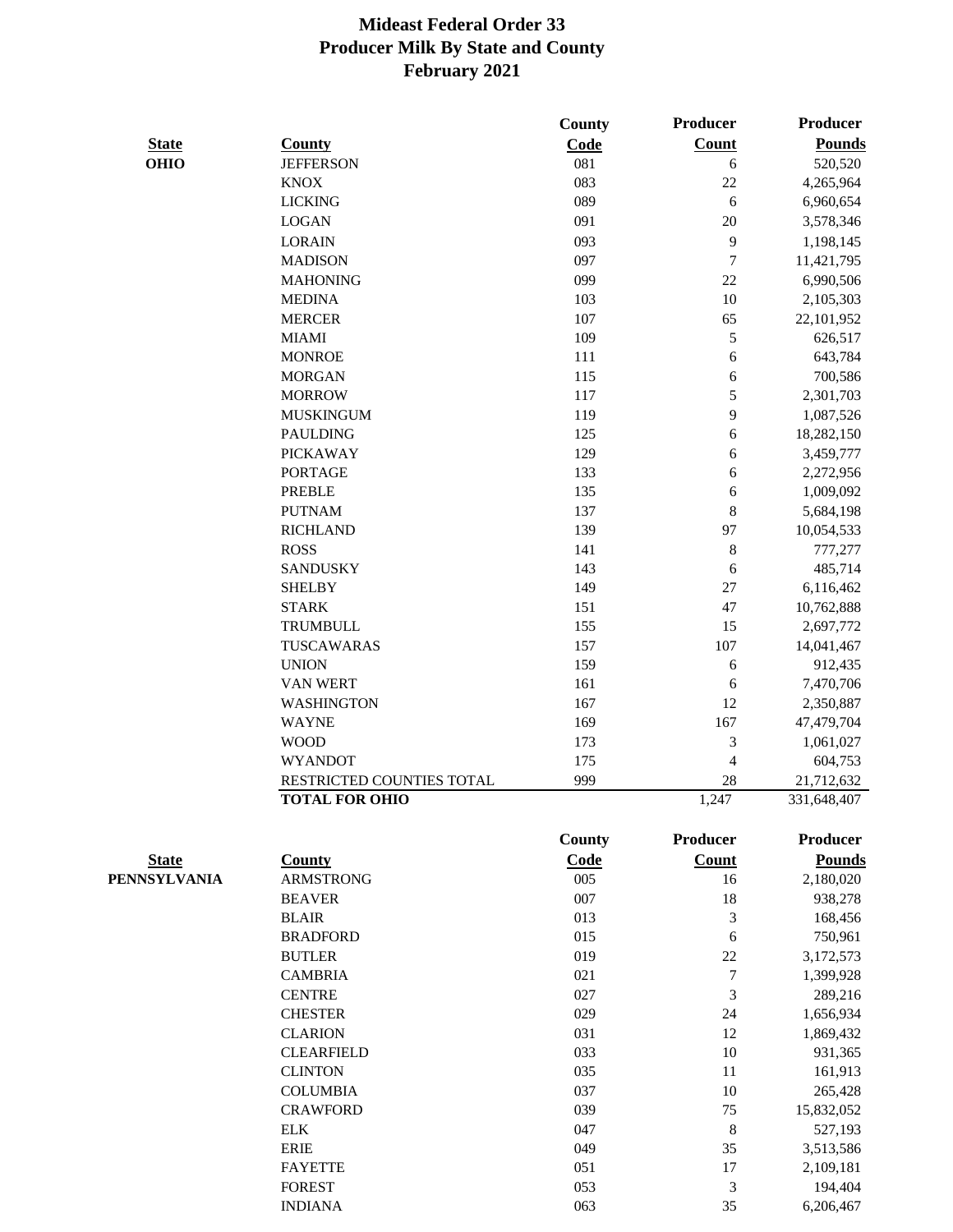|                              |                                   | County      | Producer         | <b>Producer</b> |
|------------------------------|-----------------------------------|-------------|------------------|-----------------|
| <b>State</b>                 | <b>County</b>                     | Code        | <b>Count</b>     | <b>Pounds</b>   |
| <b>OHIO</b>                  | <b>JEFFERSON</b>                  | 081         | 6                | 520,520         |
|                              | <b>KNOX</b>                       | 083         | $22\,$           | 4,265,964       |
|                              | <b>LICKING</b>                    | 089         | 6                | 6,960,654       |
|                              | <b>LOGAN</b>                      | 091         | 20               | 3,578,346       |
|                              | <b>LORAIN</b>                     | 093         | 9                | 1,198,145       |
|                              | <b>MADISON</b>                    | 097         | $\tau$           | 11,421,795      |
|                              | <b>MAHONING</b>                   | 099         | 22               | 6,990,506       |
|                              | <b>MEDINA</b>                     | 103         | 10               | 2,105,303       |
|                              | <b>MERCER</b>                     | 107         | 65               | 22,101,952      |
|                              | <b>MIAMI</b>                      | 109         | 5                | 626,517         |
|                              | <b>MONROE</b>                     | 111         | 6                | 643,784         |
|                              | <b>MORGAN</b>                     | 115         | 6                | 700,586         |
|                              | <b>MORROW</b>                     | 117         | 5                | 2,301,703       |
|                              | <b>MUSKINGUM</b>                  | 119         | 9                | 1,087,526       |
|                              | <b>PAULDING</b>                   | 125         | 6                | 18,282,150      |
|                              | <b>PICKAWAY</b>                   | 129         | 6                | 3,459,777       |
|                              | <b>PORTAGE</b>                    | 133         | 6                | 2,272,956       |
|                              | <b>PREBLE</b>                     | 135         | 6                | 1,009,092       |
|                              | <b>PUTNAM</b>                     | 137         | $\,$ 8 $\,$      | 5,684,198       |
|                              | <b>RICHLAND</b>                   | 139         | 97               | 10,054,533      |
|                              | <b>ROSS</b>                       | 141         | $\,8\,$          | 777,277         |
|                              | <b>SANDUSKY</b>                   | 143         | 6                | 485,714         |
|                              | <b>SHELBY</b>                     | 149         | 27               | 6,116,462       |
|                              | <b>STARK</b>                      | 151         | 47               | 10,762,888      |
|                              | <b>TRUMBULL</b>                   | 155         | 15               | 2,697,772       |
|                              | TUSCAWARAS                        | 157         | 107              | 14,041,467      |
|                              | <b>UNION</b>                      | 159         | 6                | 912,435         |
|                              | <b>VAN WERT</b>                   | 161         | 6                | 7,470,706       |
|                              | <b>WASHINGTON</b>                 | 167         | 12               | 2,350,887       |
|                              | <b>WAYNE</b>                      | 169         | 167              | 47,479,704      |
|                              | <b>WOOD</b>                       | 173         | $\mathfrak{Z}$   | 1,061,027       |
|                              | <b>WYANDOT</b>                    | 175         | $\overline{4}$   | 604,753         |
|                              | RESTRICTED COUNTIES TOTAL         | 999         | 28               | 21,712,632      |
|                              | <b>TOTAL FOR OHIO</b>             |             | 1,247            | 331,648,407     |
|                              |                                   | County      | <b>Producer</b>  | <b>Producer</b> |
|                              |                                   |             |                  |                 |
| <b>State</b><br>PENNSYLVANIA | <b>County</b><br><b>ARMSTRONG</b> | Code<br>005 | <b>Count</b>     | <b>Pounds</b>   |
|                              |                                   | 007         | 16<br>18         | 2,180,020       |
|                              | <b>BEAVER</b>                     |             |                  | 938,278         |
|                              | <b>BLAIR</b>                      | 013         | $\mathfrak{Z}$   | 168,456         |
|                              | <b>BRADFORD</b>                   | 015         | 6                | 750,961         |
|                              | <b>BUTLER</b>                     | 019         | 22               | 3,172,573       |
|                              | <b>CAMBRIA</b>                    | 021         | $\boldsymbol{7}$ | 1,399,928       |
|                              | <b>CENTRE</b>                     | 027         | $\mathfrak{Z}$   | 289,216         |
|                              | <b>CHESTER</b>                    | 029         | 24               | 1,656,934       |
|                              | <b>CLARION</b>                    | 031         | 12               | 1,869,432       |
|                              | <b>CLEARFIELD</b>                 | 033         | 10               | 931,365         |
|                              | <b>CLINTON</b>                    | 035         | 11               | 161,913         |
|                              | <b>COLUMBIA</b>                   | 037         | 10               | 265,428         |
|                              | <b>CRAWFORD</b>                   | 039         | 75               | 15,832,052      |
|                              | ${\rm ELK}$                       | 047         | $\,8\,$          | 527,193         |
|                              | <b>ERIE</b>                       | 049         | 35               | 3,513,586       |
|                              | <b>FAYETTE</b>                    | 051         | $17\,$           | 2,109,181       |
|                              | <b>FOREST</b>                     | 053         | $\mathfrak{Z}$   | 194,404         |

INDIANA 063 35 6,206,467